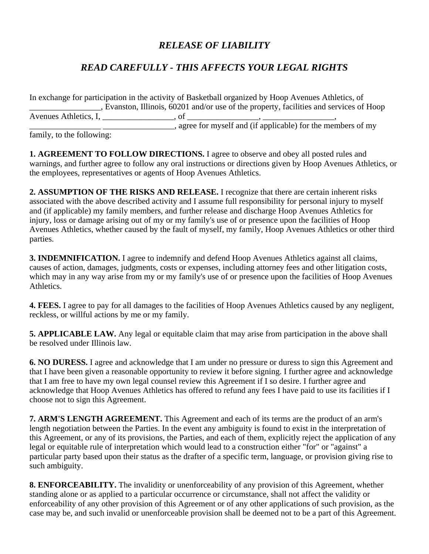## *RELEASE OF LIABILITY*

## *READ CAREFULLY - THIS AFFECTS YOUR LEGAL RIGHTS*

In exchange for participation in the activity of Basketball organized by Hoop Avenues Athletics, of \_\_\_\_\_\_\_\_\_\_\_\_\_\_\_\_\_, Evanston, Illinois, 60201 and/or use of the property, facilities and services of Hoop Avenues Athletics, I, \_\_\_\_\_\_\_\_\_\_\_\_\_\_\_\_\_, of \_\_\_\_\_\_\_\_\_\_\_\_\_\_\_\_\_, \_\_\_\_\_\_\_\_\_\_\_\_\_\_\_\_\_,  $\frac{1}{2}$ , agree for myself and (if applicable) for the members of my

family, to the following:

**1. AGREEMENT TO FOLLOW DIRECTIONS.** I agree to observe and obey all posted rules and warnings, and further agree to follow any oral instructions or directions given by Hoop Avenues Athletics, or the employees, representatives or agents of Hoop Avenues Athletics.

**2. ASSUMPTION OF THE RISKS AND RELEASE.** I recognize that there are certain inherent risks associated with the above described activity and I assume full responsibility for personal injury to myself and (if applicable) my family members, and further release and discharge Hoop Avenues Athletics for injury, loss or damage arising out of my or my family's use of or presence upon the facilities of Hoop Avenues Athletics, whether caused by the fault of myself, my family, Hoop Avenues Athletics or other third parties.

**3. INDEMNIFICATION.** I agree to indemnify and defend Hoop Avenues Athletics against all claims, causes of action, damages, judgments, costs or expenses, including attorney fees and other litigation costs, which may in any way arise from my or my family's use of or presence upon the facilities of Hoop Avenues Athletics.

**4. FEES.** I agree to pay for all damages to the facilities of Hoop Avenues Athletics caused by any negligent, reckless, or willful actions by me or my family.

**5. APPLICABLE LAW.** Any legal or equitable claim that may arise from participation in the above shall be resolved under Illinois law.

**6. NO DURESS.** I agree and acknowledge that I am under no pressure or duress to sign this Agreement and that I have been given a reasonable opportunity to review it before signing. I further agree and acknowledge that I am free to have my own legal counsel review this Agreement if I so desire. I further agree and acknowledge that Hoop Avenues Athletics has offered to refund any fees I have paid to use its facilities if I choose not to sign this Agreement.

**7. ARM'S LENGTH AGREEMENT.** This Agreement and each of its terms are the product of an arm's length negotiation between the Parties. In the event any ambiguity is found to exist in the interpretation of this Agreement, or any of its provisions, the Parties, and each of them, explicitly reject the application of any legal or equitable rule of interpretation which would lead to a construction either "for" or "against" a particular party based upon their status as the drafter of a specific term, language, or provision giving rise to such ambiguity.

**8. ENFORCEABILITY.** The invalidity or unenforceability of any provision of this Agreement, whether standing alone or as applied to a particular occurrence or circumstance, shall not affect the validity or enforceability of any other provision of this Agreement or of any other applications of such provision, as the case may be, and such invalid or unenforceable provision shall be deemed not to be a part of this Agreement.